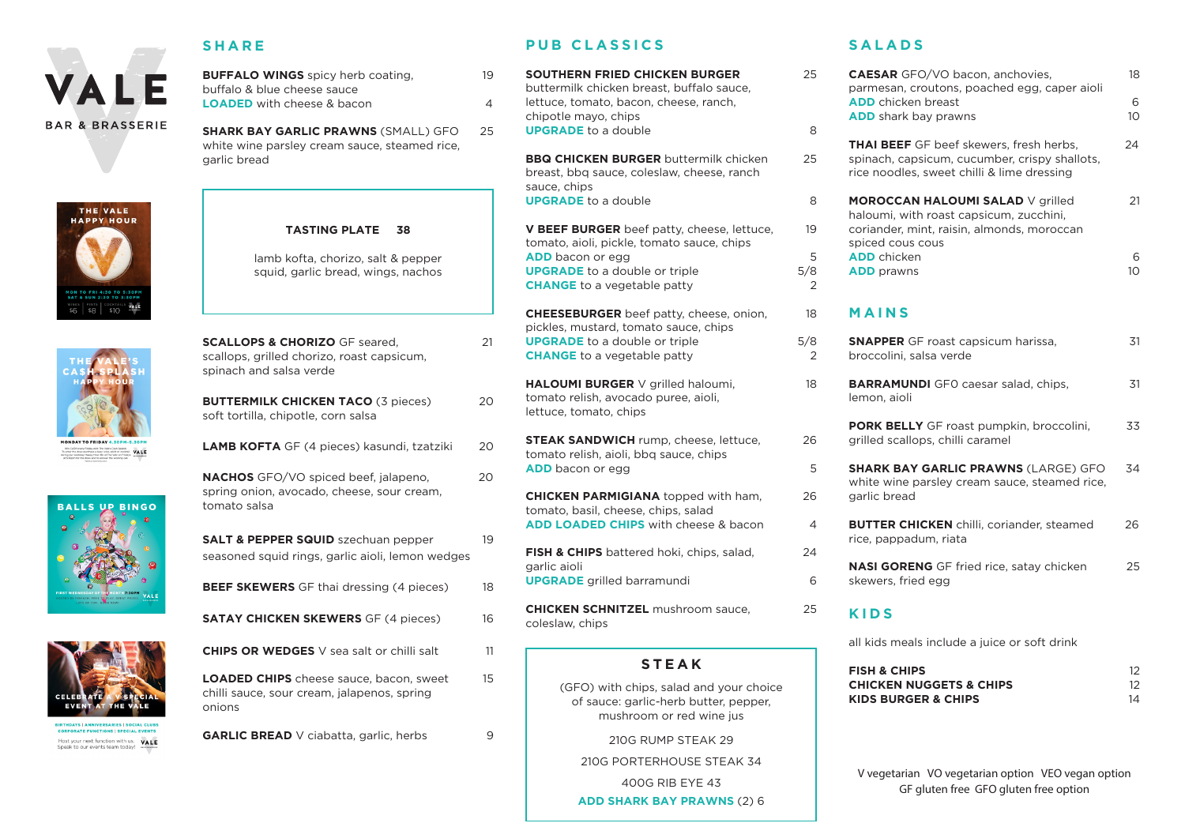

#### **SHARE**

**BUFFALO WINGS** spicy herb coating, 19 buffalo & blue cheese sauce **LOADED** with cheese & bacon 4

**SHARK BAY GARLIC PRAWNS** (SMALL) GFO 25 white wine parsley cream sauce, steamed rice, garlic bread









Host your next function with us. VALE Sneak to our events team today!

#### **TASTING PLATE 38**

lamb kofta, chorizo, salt & pepper squid, garlic bread, wings, nachos

**SCALLOPS & CHORIZO GF seared, 21** scallops, grilled chorizo, roast capsicum, spinach and salsa verde

**BUTTERMILK CHICKEN TACO (3 pieces) 20** soft tortilla, chipotle, corn salsa

**LAMB KOFTA** GF (4 pieces) kasundi, tzatziki 20

**NACHOS** GFO/VO spiced beef, jalapeno, 20 spring onion, avocado, cheese, sour cream, tomato salsa

**SALT & PEPPER SQUID** szechuan pepper 19 seasoned squid rings, garlic aioli, lemon wedges

**BEEF SKEWERS** GF thai dressing (4 pieces) 18

**SATAY CHICKEN SKEWERS** GF (4 pieces) 16

**CHIPS OR WEDGES** V sea salt or chilli salt 11

**LOADED CHIPS** cheese sauce, bacon, sweet 15 chilli sauce, sour cream, jalapenos, spring onions

**GARLIC BREAD** V ciabatta, garlic, herbs 9

### **PUB CLASSICS**

**SOUTHERN FRIED CHICKEN BURGER** 25 buttermilk chicken breast, buffalo sauce, lettuce, tomato, bacon, cheese, ranch, chipotle mayo, chips **UPGRADE** to a double 8

**BBQ CHICKEN BURGER** buttermilk chicken 25 breast, bbq sauce, coleslaw, cheese, ranch sauce, chips **UPGRADE** to a double 8

**V BEEF BURGER** beef patty, cheese, lettuce, 19 tomato, aioli, pickle, tomato sauce, chips **ADD** bacon or egg 5 **UPGRADE** to a double or triple 5/8 **CHANGE** to a vegetable patty 2

**CHEESEBURGER** beef patty, cheese, onion, 18 pickles, mustard, tomato sauce, chips **UPGRADE** to a double or triple 5/8 **CHANGE** to a vegetable patty 2

**HALOUMI BURGER** V grilled haloumi, 18 tomato relish, avocado puree, aioli, lettuce, tomato, chips

**STEAK SANDWICH** rump, cheese, lettuce, 26 tomato relish, aioli, bbq sauce, chips **ADD** bacon or egg 5

**CHICKEN PARMIGIANA** topped with ham, 26 tomato, basil, cheese, chips, salad **ADD LOADED CHIPS** with cheese & bacon 4

**FISH & CHIPS** battered hoki, chips, salad, 24 garlic aioli **UPGRADE** grilled barramundi 6

**CHICKEN SCHNITZEL** mushroom sauce, 25 coleslaw, chips

## **STEAK**

(GFO) with chips, salad and your choice of sauce: garlic-herb butter, pepper, mushroom or red wine jus

210G RUMP STEAK 29

210G PORTERHOUSE STEAK 34

400G RIB EYE 43

**ADD SHARK BAY PRAWNS** (2) 6

### **SALADS**

| 5                   | <b>CAESAR</b> GFO/VO bacon, anchovies,<br>parmesan, croutons, poached egg, caper aioli                                                               | 18                   |
|---------------------|------------------------------------------------------------------------------------------------------------------------------------------------------|----------------------|
|                     | <b>ADD</b> chicken breast<br>ADD shark bay prawns                                                                                                    | 6<br>10 <sup>°</sup> |
| ξ                   | <b>THAI BEEF</b> GF beef skewers, fresh herbs,<br>spinach, capsicum, cucumber, crispy shallots,<br>rice noodles, sweet chilli & lime dressing        | 24                   |
| š<br>ď              | <b>MOROCCAN HALOUMI SALAD V grilled</b><br>haloumi, with roast capsicum, zucchini,<br>coriander, mint, raisin, almonds, moroccan<br>spiced cous cous | 21                   |
| 5<br>3<br>2         | <b>ADD</b> chicken<br><b>ADD</b> prawns                                                                                                              | 6<br>10              |
| ξ                   | MAINS                                                                                                                                                |                      |
| ξ<br>$\overline{ }$ | <b>SNAPPER</b> GF roast capsicum harissa,<br>broccolini, salsa verde                                                                                 | 31                   |
| ś                   | <b>BARRAMUNDI</b> GFO caesar salad, chips,<br>lemon, aioli                                                                                           | 31                   |
|                     | PORK BELLY GF roast pumpkin, broccolini,<br>grilled scallops, chilli caramel                                                                         | 33                   |
| 5<br>5              | <b>SHARK BAY GARLIC PRAWNS (LARGE) GFO</b><br>white wine parsley cream sauce, steamed rice,<br>garlic bread                                          | 34                   |
|                     | <b>BUTTER CHICKEN</b> chilli, coriander, steamed<br>rice, pappadum, riata                                                                            | 26                   |
| Į                   | <b>NASI GORENG</b> GF fried rice, satay chicken<br>skewers, fried egg                                                                                | 25                   |
| 5                   | <b>KIDS</b>                                                                                                                                          |                      |
|                     | all kids meals include a juice or soft drink                                                                                                         |                      |

**FISH & CHIPS** 12 **CHICKEN NUGGETS & CHIPS** 12 **KIDS BURGER & CHIPS** 14

V vegetarian VO vegetarian option VEO vegan option GF gluten free GFO gluten free option